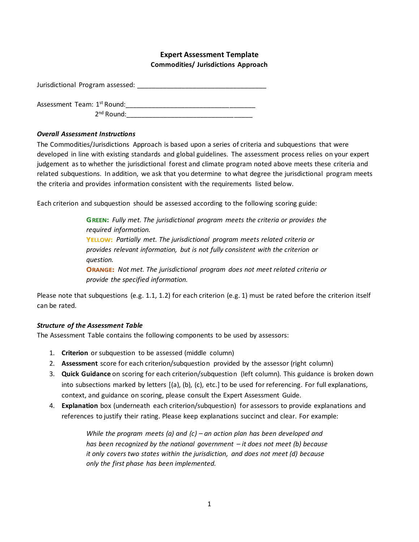#### **Expert Assessment Template Commodities/ Jurisdictions Approach**

Jurisdictional Program assessed: \_\_\_\_\_\_\_\_\_\_\_\_\_\_\_\_\_\_\_\_\_\_\_\_\_\_\_\_\_\_\_\_\_\_\_

Assessment Team: 1st Round:\_\_\_\_\_\_\_\_\_\_\_\_\_\_\_\_\_\_\_\_\_\_\_\_\_\_\_\_\_\_\_\_\_\_\_

 $2<sup>nd</sup>$  Round:

#### *Overall Assessment Instructions*

The Commodities/Jurisdictions Approach is based upon a series of criteria and subquestions that were developed in line with existing standards and global guidelines. The assessment process relies on your expert judgement as to whether the jurisdictional forest and climate program noted above meets these criteria and related subquestions. In addition, we ask that you determine to what degree the jurisdictional program meets the criteria and provides information consistent with the requirements listed below.

Each criterion and subquestion should be assessed according to the following scoring guide:

*Fully met. The jurisdictional program meets the criteria or provides the required information.*  **YELLOW:** Partially met. The jurisdictional program meets related criteria or *provides relevant information, but is not fully consistent with the criterion or question. Not met. The jurisdictional program does not meet related criteria or provide the specified information.* 

Please note that subquestions (e.g. 1.1, 1.2) for each criterion (e.g. 1) must be rated before the criterion itself can be rated.

#### *Structure of the Assessment Table*

The Assessment Table contains the following components to be used by assessors:

- 1. **Criterion** or subquestion to be assessed (middle column)
- 2. **Assessment** score for each criterion/subquestion provided by the assessor (right column)
- 3. **Quick Guidance** on scoring for each criterion/subquestion (left column). This guidance is broken down into subsections marked by letters [(a), (b), (c), etc.] to be used for referencing. For full explanations, context, and guidance on scoring, please consult the Expert Assessment Guide.
- 4. **Explanation** box (underneath each criterion/subquestion) for assessors to provide explanations and references to justify their rating. Please keep explanations succinct and clear. For example:

*While the program meets (a) and (c) – an action plan has been developed and has been recognized by the national government – it does not meet (b) because it only covers two states within the jurisdiction, and does not meet (d) because only the first phase has been implemented.*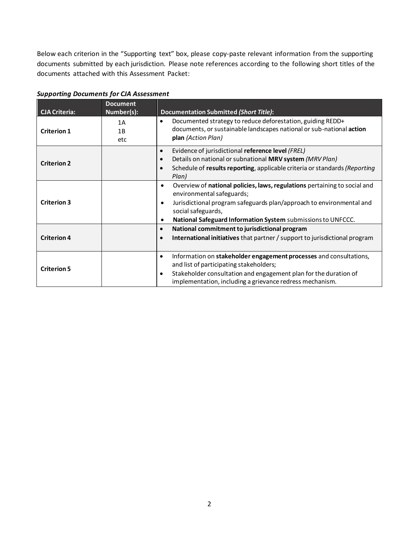Below each criterion in the "Supporting text" box, please copy-paste relevant information from the supporting documents submitted by each jurisdiction. Please note references according to the following short titles of the documents attached with this Assessment Packet:

| <b>CJA Criteria:</b> | <b>Document</b><br>Number(s): | <b>Documentation Submitted (Short Title):</b>                                                                                                                                                                                                                                               |
|----------------------|-------------------------------|---------------------------------------------------------------------------------------------------------------------------------------------------------------------------------------------------------------------------------------------------------------------------------------------|
| <b>Criterion 1</b>   | 1A<br>1B<br>etc               | Documented strategy to reduce deforestation, guiding REDD+<br>$\bullet$<br>documents, or sustainable landscapes national or sub-national action<br>plan (Action Plan)                                                                                                                       |
| <b>Criterion 2</b>   |                               | Evidence of jurisdictional reference level (FREL)<br>$\bullet$<br>Details on national or subnational MRV system (MRV Plan)<br>$\bullet$<br>Schedule of results reporting, applicable criteria or standards (Reporting<br>$\bullet$<br>Plan)                                                 |
| <b>Criterion 3</b>   |                               | Overview of national policies, laws, regulations pertaining to social and<br>٠<br>environmental safeguards;<br>Jurisdictional program safeguards plan/approach to environmental and<br>$\bullet$<br>social safeguards,<br>National Safeguard Information System submissions to UNFCCC.<br>٠ |
| <b>Criterion 4</b>   |                               | National commitment to jurisdictional program<br>$\bullet$<br>International initiatives that partner / support to jurisdictional program<br>$\bullet$                                                                                                                                       |
| <b>Criterion 5</b>   |                               | Information on stakeholder engagement processes and consultations,<br>٠<br>and list of participating stakeholders;<br>Stakeholder consultation and engagement plan for the duration of<br>$\bullet$<br>implementation, including a grievance redress mechanism.                             |

*Supporting Documents for CJA Assessment*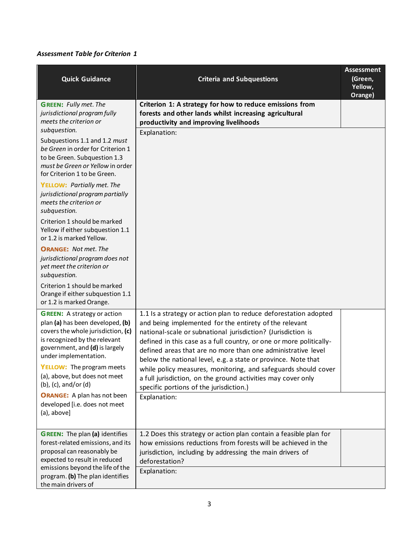| <b>Quick Guidance</b>                                                                                                                                                                                    | <b>Criteria and Subquestions</b>                                                                                                                                                                                                                                                                                                                                                                   | <b>Assessment</b><br>(Green,<br>Yellow,<br>Orange) |
|----------------------------------------------------------------------------------------------------------------------------------------------------------------------------------------------------------|----------------------------------------------------------------------------------------------------------------------------------------------------------------------------------------------------------------------------------------------------------------------------------------------------------------------------------------------------------------------------------------------------|----------------------------------------------------|
| <b>GREEN:</b> Fully met. The<br>jurisdictional program fully<br>meets the criterion or<br>subquestion.                                                                                                   | Criterion 1: A strategy for how to reduce emissions from<br>forests and other lands whilst increasing agricultural<br>productivity and improving livelihoods<br>Explanation:                                                                                                                                                                                                                       |                                                    |
| Subquestions 1.1 and 1.2 must<br>be Green in order for Criterion 1<br>to be Green. Subquestion 1.3<br>must be Green or Yellow in order<br>for Criterion 1 to be Green.                                   |                                                                                                                                                                                                                                                                                                                                                                                                    |                                                    |
| <b>YELLOW: Partially met. The</b><br>jurisdictional program partially<br>meets the criterion or<br>subquestion.                                                                                          |                                                                                                                                                                                                                                                                                                                                                                                                    |                                                    |
| Criterion 1 should be marked<br>Yellow if either subquestion 1.1<br>or 1.2 is marked Yellow.                                                                                                             |                                                                                                                                                                                                                                                                                                                                                                                                    |                                                    |
| <b>ORANGE: Not met. The</b><br>jurisdictional program does not<br>yet meet the criterion or<br>subquestion.                                                                                              |                                                                                                                                                                                                                                                                                                                                                                                                    |                                                    |
| Criterion 1 should be marked<br>Orange if either subquestion 1.1<br>or 1.2 is marked Orange.                                                                                                             |                                                                                                                                                                                                                                                                                                                                                                                                    |                                                    |
| <b>GREEN:</b> A strategy or action<br>plan (a) has been developed, (b)<br>covers the whole jurisdiction, (c)<br>is recognized by the relevant<br>government, and (d) is largely<br>under implementation. | 1.1 Is a strategy or action plan to reduce deforestation adopted<br>and being implemented for the entirety of the relevant<br>national-scale or subnational jurisdiction? (Jurisdiction is<br>defined in this case as a full country, or one or more politically-<br>defined areas that are no more than one administrative level<br>below the national level, e.g. a state or province. Note that |                                                    |
| YELLOW: The program meets<br>(a), above, but does not meet<br>(b), (c), and/or (d)                                                                                                                       | while policy measures, monitoring, and safeguards should cover<br>a full jurisdiction, on the ground activities may cover only<br>specific portions of the jurisdiction.)                                                                                                                                                                                                                          |                                                    |
| <b>ORANGE:</b> A plan has not been<br>developed [i.e. does not meet<br>$(a)$ , above]                                                                                                                    | Explanation:                                                                                                                                                                                                                                                                                                                                                                                       |                                                    |
| <b>GREEN:</b> The plan (a) identifies<br>forest-related emissions, and its<br>proposal can reasonably be<br>expected to result in reduced<br>emissions beyond the life of the                            | 1.2 Does this strategy or action plan contain a feasible plan for<br>how emissions reductions from forests will be achieved in the<br>jurisdiction, including by addressing the main drivers of<br>deforestation?<br>Explanation:                                                                                                                                                                  |                                                    |
| program. (b) The plan identifies<br>the main drivers of                                                                                                                                                  |                                                                                                                                                                                                                                                                                                                                                                                                    |                                                    |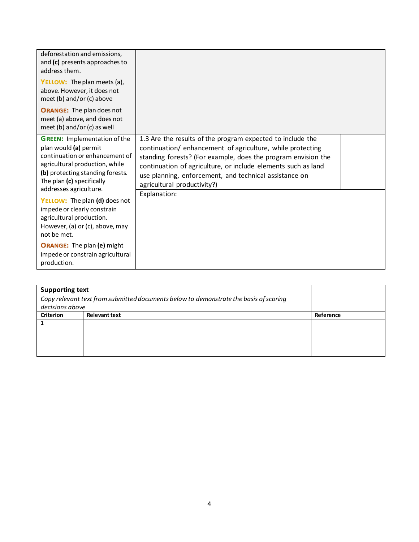| deforestation and emissions,<br>and (c) presents approaches to<br>address them.<br>YELLOW: The plan meets (a),<br>above. However, it does not<br>meet (b) and/or (c) above<br><b>ORANGE:</b> The plan does not<br>meet (a) above, and does not<br>meet (b) and/or (c) as well                                                                                             |                                                                                                                                                                                                                                                                                                                                                                     |
|---------------------------------------------------------------------------------------------------------------------------------------------------------------------------------------------------------------------------------------------------------------------------------------------------------------------------------------------------------------------------|---------------------------------------------------------------------------------------------------------------------------------------------------------------------------------------------------------------------------------------------------------------------------------------------------------------------------------------------------------------------|
| <b>GREEN:</b> Implementation of the<br>plan would (a) permit<br>continuation or enhancement of<br>agricultural production, while<br>(b) protecting standing forests.<br>The plan (c) specifically<br>addresses agriculture.<br>YELLOW: The plan (d) does not<br>impede or clearly constrain<br>agricultural production.<br>However, (a) or (c), above, may<br>not be met. | 1.3 Are the results of the program expected to include the<br>continuation/ enhancement of agriculture, while protecting<br>standing forests? (For example, does the program envision the<br>continuation of agriculture, or include elements such as land<br>use planning, enforcement, and technical assistance on<br>agricultural productivity?)<br>Explanation: |
| <b>ORANGE:</b> The plan (e) might<br>impede or constrain agricultural<br>production.                                                                                                                                                                                                                                                                                      |                                                                                                                                                                                                                                                                                                                                                                     |

|                  | <b>Supporting text</b>                                                                |           |  |
|------------------|---------------------------------------------------------------------------------------|-----------|--|
|                  | Copy relevant text from submitted documents below to demonstrate the basis of scoring |           |  |
| decisions above  |                                                                                       |           |  |
| <b>Criterion</b> | <b>Relevant text</b>                                                                  | Reference |  |
|                  |                                                                                       |           |  |
|                  |                                                                                       |           |  |
|                  |                                                                                       |           |  |
|                  |                                                                                       |           |  |
|                  |                                                                                       |           |  |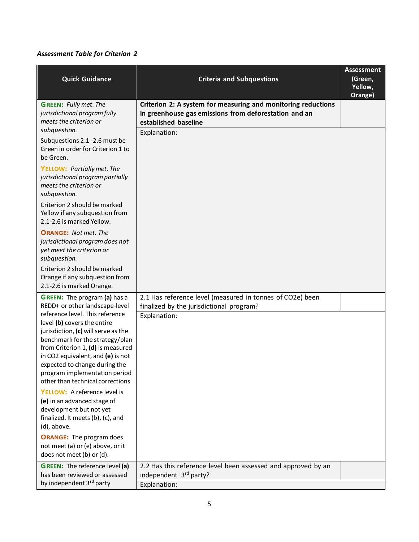| <b>Quick Guidance</b>                                                                                                                                                                                                                                                                                                    | <b>Criteria and Subquestions</b>                                                                                                               | <b>Assessment</b><br>(Green,<br>Yellow, |
|--------------------------------------------------------------------------------------------------------------------------------------------------------------------------------------------------------------------------------------------------------------------------------------------------------------------------|------------------------------------------------------------------------------------------------------------------------------------------------|-----------------------------------------|
| <b>GREEN:</b> Fully met. The<br>jurisdictional program fully<br>meets the criterion or<br>subquestion.                                                                                                                                                                                                                   | Criterion 2: A system for measuring and monitoring reductions<br>in greenhouse gas emissions from deforestation and an<br>established baseline | Orange)                                 |
| Subquestions 2.1 -2.6 must be<br>Green in order for Criterion 1 to<br>be Green.                                                                                                                                                                                                                                          | Explanation:                                                                                                                                   |                                         |
| <b>YELLOW: Partially met. The</b><br>jurisdictional program partially<br>meets the criterion or<br>subquestion.                                                                                                                                                                                                          |                                                                                                                                                |                                         |
| Criterion 2 should be marked<br>Yellow if any subquestion from<br>2.1-2.6 is marked Yellow.                                                                                                                                                                                                                              |                                                                                                                                                |                                         |
| <b>ORANGE:</b> Not met. The<br>jurisdictional program does not<br>yet meet the criterion or<br>subquestion.                                                                                                                                                                                                              |                                                                                                                                                |                                         |
| Criterion 2 should be marked<br>Orange if any subquestion from<br>2.1-2.6 is marked Orange.                                                                                                                                                                                                                              |                                                                                                                                                |                                         |
| <b>GREEN:</b> The program (a) has a<br>REDD+ or other landscape-level                                                                                                                                                                                                                                                    | 2.1 Has reference level (measured in tonnes of CO2e) been<br>finalized by the jurisdictional program?                                          |                                         |
| reference level. This reference<br>level (b) covers the entire<br>jurisdiction, (c) will serve as the<br>benchmark for the strategy/plan<br>from Criterion 1, (d) is measured<br>in CO2 equivalent, and (e) is not<br>expected to change during the<br>program implementation period<br>other than technical corrections | Explanation:                                                                                                                                   |                                         |
| YELLOW: A reference level is<br>(e) in an advanced stage of<br>development but not yet<br>finalized. It meets (b), (c), and<br>(d), above.                                                                                                                                                                               |                                                                                                                                                |                                         |
| <b>ORANGE:</b> The program does<br>not meet (a) or (e) above, or it<br>does not meet (b) or (d).                                                                                                                                                                                                                         |                                                                                                                                                |                                         |
| <b>GREEN:</b> The reference level (a)<br>has been reviewed or assessed<br>by independent 3 <sup>rd</sup> party                                                                                                                                                                                                           | 2.2 Has this reference level been assessed and approved by an<br>independent 3rd party?<br>Explanation:                                        |                                         |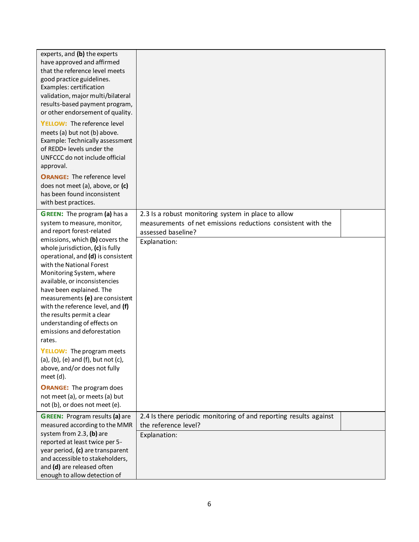| experts, and (b) the experts<br>have approved and affirmed<br>that the reference level meets<br>good practice guidelines.<br>Examples: certification<br>validation, major multi/bilateral<br>results-based payment program,<br>or other endorsement of quality.<br>YELLOW: The reference level<br>meets (a) but not (b) above.<br>Example: Technically assessment<br>of REDD+ levels under the<br>UNFCCC do not include official |                                                                                                                                           |  |
|----------------------------------------------------------------------------------------------------------------------------------------------------------------------------------------------------------------------------------------------------------------------------------------------------------------------------------------------------------------------------------------------------------------------------------|-------------------------------------------------------------------------------------------------------------------------------------------|--|
| approval.<br><b>ORANGE:</b> The reference level<br>does not meet (a), above, or (c)<br>has been found inconsistent<br>with best practices.                                                                                                                                                                                                                                                                                       |                                                                                                                                           |  |
| <b>GREEN:</b> The program (a) has a<br>system to measure, monitor,<br>and report forest-related                                                                                                                                                                                                                                                                                                                                  | 2.3 Is a robust monitoring system in place to allow<br>measurements of net emissions reductions consistent with the<br>assessed baseline? |  |
| emissions, which (b) covers the<br>whole jurisdiction, (c) is fully<br>operational, and (d) is consistent<br>with the National Forest<br>Monitoring System, where<br>available, or inconsistencies<br>have been explained. The<br>measurements (e) are consistent<br>with the reference level, and (f)<br>the results permit a clear<br>understanding of effects on<br>emissions and deforestation<br>rates.                     | Explanation:                                                                                                                              |  |
| <b>YELLOW:</b> The program meets<br>(a), (b), (e) and (f), but not (c),<br>above, and/or does not fully<br>meet (d).                                                                                                                                                                                                                                                                                                             |                                                                                                                                           |  |
| <b>ORANGE:</b> The program does<br>not meet (a), or meets (a) but<br>not (b), or does not meet (e).                                                                                                                                                                                                                                                                                                                              |                                                                                                                                           |  |
| <b>GREEN:</b> Program results (a) are<br>measured according to the MMR<br>system from 2.3, (b) are<br>reported at least twice per 5-<br>year period, (c) are transparent<br>and accessible to stakeholders,<br>and (d) are released often<br>enough to allow detection of                                                                                                                                                        | 2.4 Is there periodic monitoring of and reporting results against<br>the reference level?<br>Explanation:                                 |  |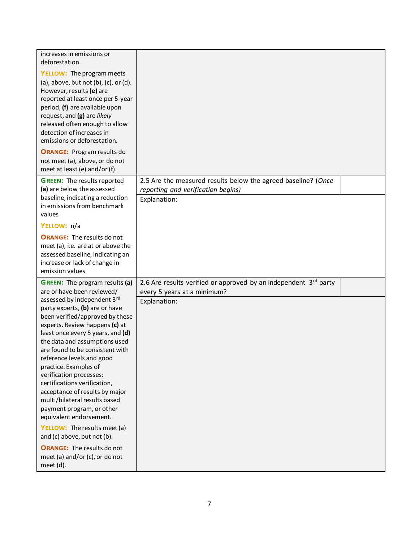| increases in emissions or<br>deforestation.<br><b>YELLOW:</b> The program meets<br>(a), above, but not (b), (c), or (d).<br>However, results (e) are<br>reported at least once per 5-year<br>period, (f) are available upon<br>request, and (g) are likely<br>released often enough to allow<br>detection of increases in<br>emissions or deforestation.<br><b>ORANGE: Program results do</b><br>not meet (a), above, or do not<br>meet at least (e) and/or (f).                                                                                                                                                                                                                                                  |                                                                                                                     |  |
|-------------------------------------------------------------------------------------------------------------------------------------------------------------------------------------------------------------------------------------------------------------------------------------------------------------------------------------------------------------------------------------------------------------------------------------------------------------------------------------------------------------------------------------------------------------------------------------------------------------------------------------------------------------------------------------------------------------------|---------------------------------------------------------------------------------------------------------------------|--|
| <b>GREEN:</b> The results reported<br>(a) are below the assessed<br>baseline, indicating a reduction<br>in emissions from benchmark<br>values                                                                                                                                                                                                                                                                                                                                                                                                                                                                                                                                                                     | 2.5 Are the measured results below the agreed baseline? (Once<br>reporting and verification begins)<br>Explanation: |  |
| YELLOW: n/a<br><b>ORANGE:</b> The results do not<br>meet (a), i.e. are at or above the<br>assessed baseline, indicating an<br>increase or lack of change in<br>emission values                                                                                                                                                                                                                                                                                                                                                                                                                                                                                                                                    |                                                                                                                     |  |
| <b>GREEN:</b> The program results (a)<br>are or have been reviewed/<br>assessed by independent 3rd<br>party experts, (b) are or have<br>been verified/approved by these<br>experts. Review happens (c) at<br>least once every 5 years, and (d)<br>the data and assumptions used<br>are found to be consistent with<br>reference levels and good<br>practice. Examples of<br>verification processes:<br>certifications verification,<br>acceptance of results by major<br>multi/bilateral results based<br>payment program, or other<br>equivalent endorsement.<br>YELLOW: The results meet (a)<br>and (c) above, but not (b).<br><b>ORANGE:</b> The results do not<br>meet (a) and/or (c), or do not<br>meet (d). | 2.6 Are results verified or approved by an independent 3rd party<br>every 5 years at a minimum?<br>Explanation:     |  |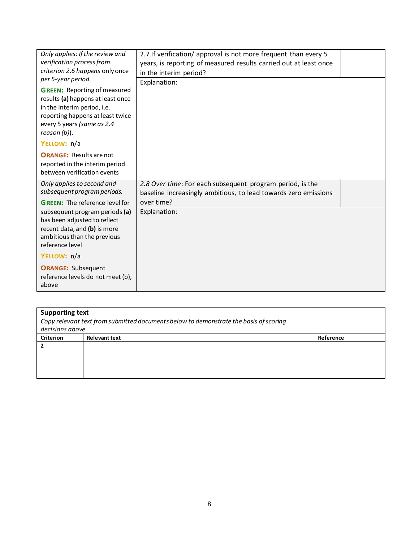| Only applies: If the review and<br>verification process from<br>criterion 2.6 happens only once<br>per 5-year period.                                                                        | 2.7 If verification/ approval is not more frequent than every 5<br>years, is reporting of measured results carried out at least once<br>in the interim period?<br>Explanation: |  |
|----------------------------------------------------------------------------------------------------------------------------------------------------------------------------------------------|--------------------------------------------------------------------------------------------------------------------------------------------------------------------------------|--|
| <b>GREEN:</b> Reporting of measured<br>results (a) happens at least once<br>in the interim period, i.e.<br>reporting happens at least twice<br>every 5 years (same as 2.4<br>$reason (b)$ ). |                                                                                                                                                                                |  |
| YELLOW: n/a                                                                                                                                                                                  |                                                                                                                                                                                |  |
| <b>ORANGE: Results are not</b><br>reported in the interim period<br>between verification events                                                                                              |                                                                                                                                                                                |  |
| Only applies to second and<br>subsequent program periods.                                                                                                                                    | 2.8 Over time: For each subsequent program period, is the<br>baseline increasingly ambitious, to lead towards zero emissions                                                   |  |
| <b>GREEN:</b> The reference level for                                                                                                                                                        | over time?                                                                                                                                                                     |  |
| subsequent program periods (a)<br>has been adjusted to reflect<br>recent data, and (b) is more<br>ambitious than the previous<br>reference level                                             | Explanation:                                                                                                                                                                   |  |
| YELLOW: n/a                                                                                                                                                                                  |                                                                                                                                                                                |  |
| <b>ORANGE: Subsequent</b><br>reference levels do not meet (b),<br>above                                                                                                                      |                                                                                                                                                                                |  |

|                  | <b>Supporting text</b><br>Copy relevant text from submitted documents below to demonstrate the basis of scoring<br>decisions above |           |  |
|------------------|------------------------------------------------------------------------------------------------------------------------------------|-----------|--|
| <b>Criterion</b> | <b>Relevant text</b>                                                                                                               | Reference |  |
|                  |                                                                                                                                    |           |  |
|                  |                                                                                                                                    |           |  |
|                  |                                                                                                                                    |           |  |
|                  |                                                                                                                                    |           |  |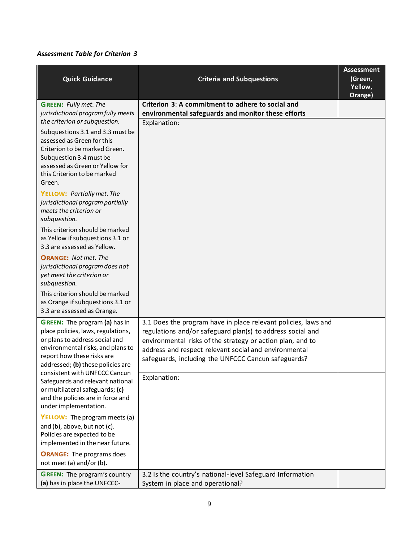| <b>Quick Guidance</b>                                                                                                                                                                                                                   | <b>Criteria and Subquestions</b>                                                                                                                                                                                                                                                                           | <b>Assessment</b><br>(Green,<br>Yellow,<br>Orange) |
|-----------------------------------------------------------------------------------------------------------------------------------------------------------------------------------------------------------------------------------------|------------------------------------------------------------------------------------------------------------------------------------------------------------------------------------------------------------------------------------------------------------------------------------------------------------|----------------------------------------------------|
| <b>GREEN:</b> Fully met. The<br>jurisdictional program fully meets                                                                                                                                                                      | Criterion 3: A commitment to adhere to social and<br>environmental safeguards and monitor these efforts                                                                                                                                                                                                    |                                                    |
| the criterion or subquestion.<br>Subquestions 3.1 and 3.3 must be<br>assessed as Green for this<br>Criterion to be marked Green.<br>Subquestion 3.4 must be<br>assessed as Green or Yellow for<br>this Criterion to be marked<br>Green. | Explanation:                                                                                                                                                                                                                                                                                               |                                                    |
| <b>YELLOW: Partially met. The</b><br>jurisdictional program partially<br>meets the criterion or<br>subquestion.                                                                                                                         |                                                                                                                                                                                                                                                                                                            |                                                    |
| This criterion should be marked<br>as Yellow if subquestions 3.1 or<br>3.3 are assessed as Yellow.                                                                                                                                      |                                                                                                                                                                                                                                                                                                            |                                                    |
| <b>ORANGE: Not met. The</b><br>jurisdictional program does not<br>yet meet the criterion or<br>subquestion.                                                                                                                             |                                                                                                                                                                                                                                                                                                            |                                                    |
| This criterion should be marked<br>as Orange if subquestions 3.1 or<br>3.3 are assessed as Orange.                                                                                                                                      |                                                                                                                                                                                                                                                                                                            |                                                    |
| <b>GREEN:</b> The program (a) has in<br>place policies, laws, regulations,<br>or plans to address social and<br>environmental risks, and plans to<br>report how these risks are<br>addressed; (b) these policies are                    | 3.1 Does the program have in place relevant policies, laws and<br>regulations and/or safeguard plan(s) to address social and<br>environmental risks of the strategy or action plan, and to<br>address and respect relevant social and environmental<br>safeguards, including the UNFCCC Cancun safeguards? |                                                    |
| consistent with UNFCCC Cancun<br>Safeguards and relevant national<br>or multilateral safeguards; (c)<br>and the policies are in force and<br>under implementation.                                                                      | Explanation:                                                                                                                                                                                                                                                                                               |                                                    |
| <b>YELLOW:</b> The program meets (a)<br>and (b), above, but not (c).<br>Policies are expected to be<br>implemented in the near future.                                                                                                  |                                                                                                                                                                                                                                                                                                            |                                                    |
| <b>ORANGE:</b> The programs does<br>not meet (a) and/or (b).                                                                                                                                                                            |                                                                                                                                                                                                                                                                                                            |                                                    |
| <b>GREEN:</b> The program's country<br>(a) has in place the UNFCCC-                                                                                                                                                                     | 3.2 Is the country's national-level Safeguard Information<br>System in place and operational?                                                                                                                                                                                                              |                                                    |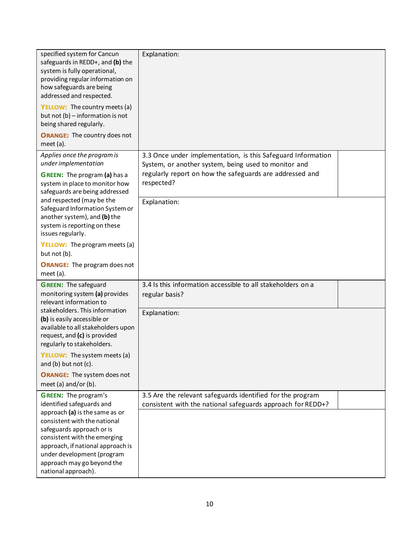| specified system for Cancun<br>safeguards in REDD+, and (b) the<br>system is fully operational,<br>providing regular information on<br>how safeguards are being<br>addressed and respected.<br><b>YELLOW:</b> The country meets (a)<br>but not (b) - information is not<br>being shared regularly.<br><b>ORANGE:</b> The country does not | Explanation:                                                                                                                                                                                   |  |
|-------------------------------------------------------------------------------------------------------------------------------------------------------------------------------------------------------------------------------------------------------------------------------------------------------------------------------------------|------------------------------------------------------------------------------------------------------------------------------------------------------------------------------------------------|--|
| meet $(a)$ .                                                                                                                                                                                                                                                                                                                              |                                                                                                                                                                                                |  |
| Applies once the program is<br>under implementation<br><b>GREEN:</b> The program (a) has a<br>system in place to monitor how<br>safeguards are being addressed                                                                                                                                                                            | 3.3 Once under implementation, is this Safeguard Information<br>System, or another system, being used to monitor and<br>regularly report on how the safeguards are addressed and<br>respected? |  |
| and respected (may be the<br>Safeguard Information System or<br>another system), and (b) the<br>system is reporting on these<br>issues regularly.                                                                                                                                                                                         | Explanation:                                                                                                                                                                                   |  |
| <b>YELLOW:</b> The program meets (a)<br>but not (b).                                                                                                                                                                                                                                                                                      |                                                                                                                                                                                                |  |
| <b>ORANGE:</b> The program does not<br>meet $(a)$ .                                                                                                                                                                                                                                                                                       |                                                                                                                                                                                                |  |
| <b>GREEN:</b> The safeguard<br>monitoring system (a) provides<br>relevant information to                                                                                                                                                                                                                                                  | 3.4 Is this information accessible to all stakeholders on a<br>regular basis?                                                                                                                  |  |
| stakeholders. This information<br>(b) is easily accessible or<br>available to all stakeholders upon<br>request, and (c) is provided<br>regularly to stakeholders.                                                                                                                                                                         | Explanation:                                                                                                                                                                                   |  |
| YELLOW: The system meets (a)<br>and $(b)$ but not $(c)$ .                                                                                                                                                                                                                                                                                 |                                                                                                                                                                                                |  |
| <b>ORANGE:</b> The system does not<br>meet (a) and/or (b).                                                                                                                                                                                                                                                                                |                                                                                                                                                                                                |  |
| <b>GREEN:</b> The program's<br>identified safeguards and<br>approach (a) is the same as or<br>consistent with the national<br>safeguards approach or is<br>consistent with the emerging<br>approach, if national approach is<br>under development (program<br>approach may go beyond the<br>national approach).                           | 3.5 Are the relevant safeguards identified for the program<br>consistent with the national safeguards approach for REDD+?                                                                      |  |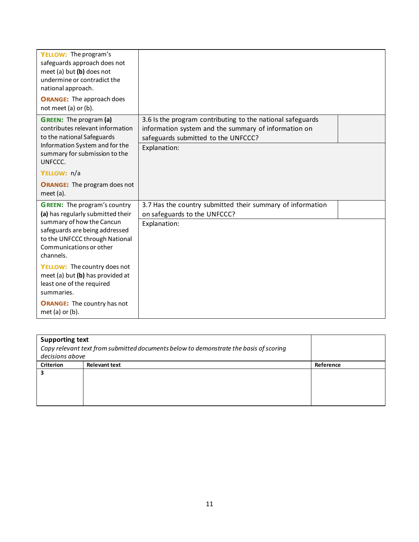| <b>YELLOW:</b> The program's<br>safeguards approach does not<br>meet (a) but $(b)$ does not<br>undermine or contradict the<br>national approach.                              |                                                                                                                                                                           |
|-------------------------------------------------------------------------------------------------------------------------------------------------------------------------------|---------------------------------------------------------------------------------------------------------------------------------------------------------------------------|
| <b>ORANGE:</b> The approach does<br>not meet (a) or (b).                                                                                                                      |                                                                                                                                                                           |
| <b>GREEN:</b> The program (a)<br>contributes relevant information<br>to the national Safeguards<br>Information System and for the<br>summary for submission to the<br>UNFCCC. | 3.6 Is the program contributing to the national safeguards<br>information system and the summary of information on<br>safeguards submitted to the UNFCCC?<br>Explanation: |
| YELLOW: n/a                                                                                                                                                                   |                                                                                                                                                                           |
| <b>ORANGE:</b> The program does not<br>meet $(a)$ .                                                                                                                           |                                                                                                                                                                           |
| <b>GREEN:</b> The program's country<br>(a) has regularly submitted their                                                                                                      | 3.7 Has the country submitted their summary of information<br>on safeguards to the UNFCCC?                                                                                |
| summary of how the Cancun<br>safeguards are being addressed<br>to the UNFCCC through National<br>Communications or other<br>channels.                                         | Explanation:                                                                                                                                                              |
| YELLOW: The country does not<br>meet (a) but (b) has provided at<br>least one of the required<br>summaries.                                                                   |                                                                                                                                                                           |
| <b>ORANGE:</b> The country has not<br>met (a) or (b).                                                                                                                         |                                                                                                                                                                           |

| <b>Supporting text</b> |                                                                                       |           |
|------------------------|---------------------------------------------------------------------------------------|-----------|
|                        | Copy relevant text from submitted documents below to demonstrate the basis of scoring |           |
| decisions above        |                                                                                       |           |
| <b>Criterion</b>       | <b>Relevant text</b>                                                                  | Reference |
|                        |                                                                                       |           |
|                        |                                                                                       |           |
|                        |                                                                                       |           |
|                        |                                                                                       |           |
|                        |                                                                                       |           |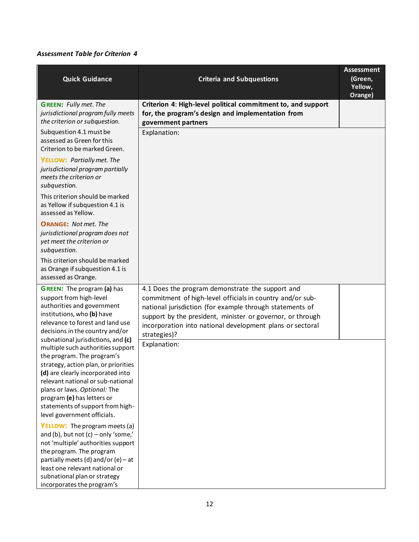| <b>Criteria and Subquestions</b>                                                                                                                                                                                                                                                                     | <b>Assessment</b><br>(Green,<br>Yellow,<br>Orange) |
|------------------------------------------------------------------------------------------------------------------------------------------------------------------------------------------------------------------------------------------------------------------------------------------------------|----------------------------------------------------|
| Criterion 4: High-level political commitment to, and support<br>for, the program's design and implementation from<br>government partners                                                                                                                                                             |                                                    |
|                                                                                                                                                                                                                                                                                                      |                                                    |
|                                                                                                                                                                                                                                                                                                      |                                                    |
|                                                                                                                                                                                                                                                                                                      |                                                    |
|                                                                                                                                                                                                                                                                                                      |                                                    |
|                                                                                                                                                                                                                                                                                                      |                                                    |
| 4.1 Does the program demonstrate the support and<br>commitment of high-level officials in country and/or sub-<br>national jurisdiction (for example through statements of<br>support by the president, minister or governor, or through<br>incorporation into national development plans or sectoral |                                                    |
| Explanation:                                                                                                                                                                                                                                                                                         |                                                    |
|                                                                                                                                                                                                                                                                                                      | Explanation:<br>strategies)?                       |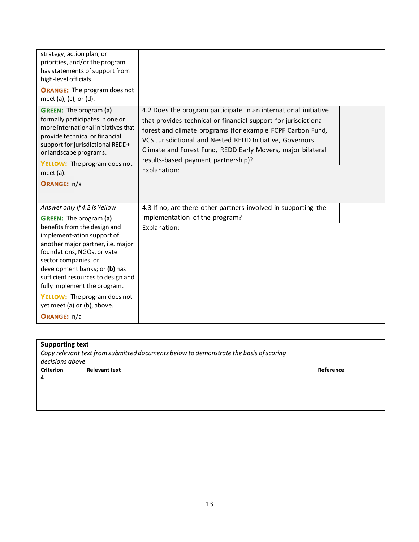| strategy, action plan, or<br>priorities, and/or the program<br>has statements of support from<br>high-level officials.<br><b>ORANGE:</b> The program does not<br>meet (a), (c), or (d).                                                                                                                                                           |                                                                                                                                                                                                                                                                                                                                                                                    |
|---------------------------------------------------------------------------------------------------------------------------------------------------------------------------------------------------------------------------------------------------------------------------------------------------------------------------------------------------|------------------------------------------------------------------------------------------------------------------------------------------------------------------------------------------------------------------------------------------------------------------------------------------------------------------------------------------------------------------------------------|
| <b>GREEN:</b> The program (a)<br>formally participates in one or<br>more international initiatives that<br>provide technical or financial<br>support for jurisdictional REDD+<br>or landscape programs.<br><b>YELLOW:</b> The program does not<br>meet (a).<br>ORANGE: n/a                                                                        | 4.2 Does the program participate in an international initiative<br>that provides technical or financial support for jurisdictional<br>forest and climate programs (for example FCPF Carbon Fund,<br>VCS Jurisdictional and Nested REDD Initiative, Governors<br>Climate and Forest Fund, REDD Early Movers, major bilateral<br>results-based payment partnership)?<br>Explanation: |
| Answer only if 4.2 is Yellow<br><b>GREEN:</b> The program (a)                                                                                                                                                                                                                                                                                     | 4.3 If no, are there other partners involved in supporting the<br>implementation of the program?                                                                                                                                                                                                                                                                                   |
| benefits from the design and<br>implement-ation support of<br>another major partner, i.e. major<br>foundations, NGOs, private<br>sector companies, or<br>development banks; or (b) has<br>sufficient resources to design and<br>fully implement the program.<br><b>YELLOW:</b> The program does not<br>yet meet (a) or (b), above.<br>ORANGE: n/a | Explanation:                                                                                                                                                                                                                                                                                                                                                                       |

| <b>Supporting text</b> | Copy relevant text from submitted documents below to demonstrate the basis of scoring |           |
|------------------------|---------------------------------------------------------------------------------------|-----------|
| decisions above        |                                                                                       |           |
| <b>Criterion</b>       | <b>Relevant text</b>                                                                  | Reference |
| 4                      |                                                                                       |           |
|                        |                                                                                       |           |
|                        |                                                                                       |           |
|                        |                                                                                       |           |
|                        |                                                                                       |           |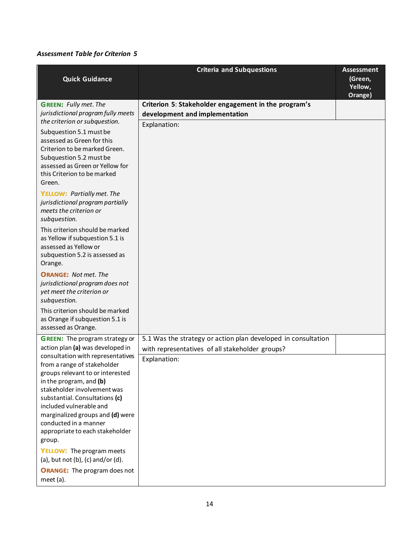|                                                                                                                                                                                                                                                                                                  | <b>Criteria and Subquestions</b>                              | <b>Assessment</b>  |
|--------------------------------------------------------------------------------------------------------------------------------------------------------------------------------------------------------------------------------------------------------------------------------------------------|---------------------------------------------------------------|--------------------|
| <b>Quick Guidance</b>                                                                                                                                                                                                                                                                            |                                                               | (Green,            |
|                                                                                                                                                                                                                                                                                                  |                                                               | Yellow,<br>Orange) |
| <b>GREEN: Fully met. The</b>                                                                                                                                                                                                                                                                     | Criterion 5: Stakeholder engagement in the program's          |                    |
| jurisdictional program fully meets                                                                                                                                                                                                                                                               | development and implementation                                |                    |
| the criterion or subquestion.                                                                                                                                                                                                                                                                    | Explanation:                                                  |                    |
| Subquestion 5.1 must be<br>assessed as Green for this<br>Criterion to be marked Green.<br>Subquestion 5.2 must be<br>assessed as Green or Yellow for<br>this Criterion to be marked<br>Green.                                                                                                    |                                                               |                    |
| <b>YELLOW: Partially met. The</b><br>jurisdictional program partially<br>meets the criterion or<br>subquestion.                                                                                                                                                                                  |                                                               |                    |
| This criterion should be marked<br>as Yellow if subquestion 5.1 is<br>assessed as Yellow or<br>subquestion 5.2 is assessed as<br>Orange.                                                                                                                                                         |                                                               |                    |
| <b>ORANGE: Not met. The</b><br>jurisdictional program does not<br>yet meet the criterion or<br>subquestion.                                                                                                                                                                                      |                                                               |                    |
| This criterion should be marked<br>as Orange if subquestion 5.1 is<br>assessed as Orange.                                                                                                                                                                                                        |                                                               |                    |
| <b>GREEN:</b> The program strategy or                                                                                                                                                                                                                                                            | 5.1 Was the strategy or action plan developed in consultation |                    |
| action plan (a) was developed in<br>consultation with representatives                                                                                                                                                                                                                            | with representatives of all stakeholder groups?               |                    |
| from a range of stakeholder<br>groups relevant to or interested<br>in the program, and (b)<br>stakeholder involvement was<br>substantial. Consultations (c)<br>included vulnerable and<br>marginalized groups and (d) were<br>conducted in a manner<br>appropriate to each stakeholder<br>group. | Explanation:                                                  |                    |
| <b>YELLOW:</b> The program meets<br>(a), but not (b), (c) and/or (d).                                                                                                                                                                                                                            |                                                               |                    |
| <b>ORANGE:</b> The program does not<br>meet (a).                                                                                                                                                                                                                                                 |                                                               |                    |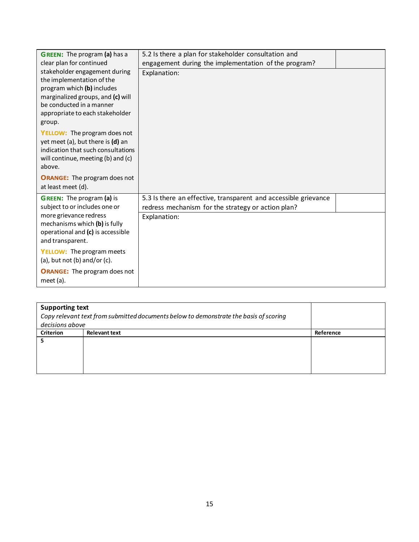| <b>GREEN:</b> The program (a) has a<br>clear plan for continued                                                                                                                                        | 5.2 Is there a plan for stakeholder consultation and<br>engagement during the implementation of the program?          |  |
|--------------------------------------------------------------------------------------------------------------------------------------------------------------------------------------------------------|-----------------------------------------------------------------------------------------------------------------------|--|
| stakeholder engagement during<br>the implementation of the<br>program which (b) includes<br>marginalized groups, and (c) will<br>be conducted in a manner<br>appropriate to each stakeholder<br>group. | Explanation:                                                                                                          |  |
| <b>YELLOW:</b> The program does not<br>yet meet (a), but there is (d) an<br>indication that such consultations<br>will continue, meeting (b) and (c)<br>above.                                         |                                                                                                                       |  |
| <b>ORANGE:</b> The program does not<br>at least meet (d).                                                                                                                                              |                                                                                                                       |  |
| <b>GREEN:</b> The program (a) is<br>subject to or includes one or                                                                                                                                      | 5.3 Is there an effective, transparent and accessible grievance<br>redress mechanism for the strategy or action plan? |  |
| more grievance redress<br>mechanisms which (b) is fully<br>operational and (c) is accessible<br>and transparent.                                                                                       | Explanation:                                                                                                          |  |
| <b>YELLOW:</b> The program meets<br>$(a)$ , but not $(b)$ and/or $(c)$ .                                                                                                                               |                                                                                                                       |  |
| <b>ORANGE:</b> The program does not<br>meet (a).                                                                                                                                                       |                                                                                                                       |  |

| <b>Supporting text</b> |                                                                                       |           |  |
|------------------------|---------------------------------------------------------------------------------------|-----------|--|
|                        | Copy relevant text from submitted documents below to demonstrate the basis of scoring |           |  |
| decisions above        |                                                                                       |           |  |
| <b>Criterion</b>       | <b>Relevant text</b>                                                                  | Reference |  |
|                        |                                                                                       |           |  |
|                        |                                                                                       |           |  |
|                        |                                                                                       |           |  |
|                        |                                                                                       |           |  |
|                        |                                                                                       |           |  |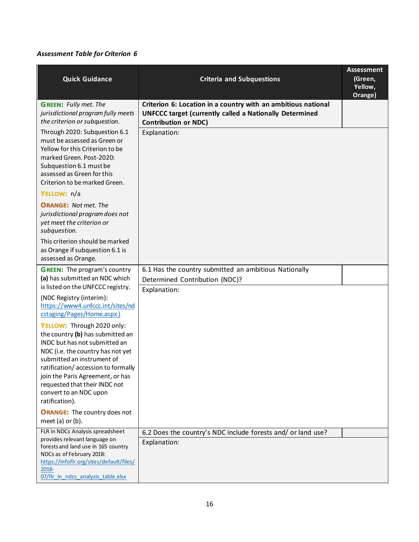| <b>Quick Guidance</b>                                                                                                                                                                                                  | <b>Criteria and Subquestions</b>                                                                                                                               | <b>Assessment</b><br>(Green,<br>Yellow,<br>Orange) |
|------------------------------------------------------------------------------------------------------------------------------------------------------------------------------------------------------------------------|----------------------------------------------------------------------------------------------------------------------------------------------------------------|----------------------------------------------------|
| <b>GREEN:</b> Fully met. The<br>jurisdictional program fully meets<br>the criterion or subquestion.                                                                                                                    | Criterion 6: Location in a country with an ambitious national<br><b>UNFCCC target (currently called a Nationally Determined</b><br><b>Contribution or NDC)</b> |                                                    |
| Through 2020: Subquestion 6.1<br>must be assessed as Green or<br>Yellow for this Criterion to be<br>marked Green. Post-2020:<br>Subquestion 6.1 must be<br>assessed as Green for this<br>Criterion to be marked Green. | Explanation:                                                                                                                                                   |                                                    |
| YELLOW: n/a                                                                                                                                                                                                            |                                                                                                                                                                |                                                    |
| <b>ORANGE:</b> Not met. The<br>jurisdictional program does not<br>yet meet the criterion or<br>subquestion.                                                                                                            |                                                                                                                                                                |                                                    |
| This criterion should be marked<br>as Orange if subquestion 6.1 is<br>assessed as Orange.                                                                                                                              |                                                                                                                                                                |                                                    |
| <b>GREEN:</b> The program's country                                                                                                                                                                                    | 6.1 Has the country submitted an ambitious Nationally                                                                                                          |                                                    |
| (a) has submitted an NDC which<br>is listed on the UNFCCC registry.                                                                                                                                                    | Determined Contribution (NDC)?<br>Explanation:                                                                                                                 |                                                    |
| (NDC Registry (interim):<br>https://www4.unfccc.int/sites/nd<br>cstaging/Pages/Home.aspx)                                                                                                                              |                                                                                                                                                                |                                                    |
| YELLOW: Through 2020 only:                                                                                                                                                                                             |                                                                                                                                                                |                                                    |
| the country (b) has submitted an<br>INDC but has not submitted an                                                                                                                                                      |                                                                                                                                                                |                                                    |
| NDC (i.e. the country has not yet<br>submitted an instrument of                                                                                                                                                        |                                                                                                                                                                |                                                    |
| ratification/accession to formally                                                                                                                                                                                     |                                                                                                                                                                |                                                    |
| join the Paris Agreement, or has<br>requested that their INDC not                                                                                                                                                      |                                                                                                                                                                |                                                    |
| convert to an NDC upon                                                                                                                                                                                                 |                                                                                                                                                                |                                                    |
| ratification).                                                                                                                                                                                                         |                                                                                                                                                                |                                                    |
| <b>ORANGE:</b> The country does not<br>meet (a) or (b).                                                                                                                                                                |                                                                                                                                                                |                                                    |
| FLR in NDCs Analysis spreadsheet                                                                                                                                                                                       | 6.2 Does the country's NDC include forests and/ or land use?                                                                                                   |                                                    |
| provides relevant language on<br>forests and land use in 165 country                                                                                                                                                   | Explanation:                                                                                                                                                   |                                                    |
| NDCs as of February 2018:<br>https://infoflr.org/sites/default/files/                                                                                                                                                  |                                                                                                                                                                |                                                    |
| 2018-<br>07/flr in ndcs analysis table.xlsx                                                                                                                                                                            |                                                                                                                                                                |                                                    |